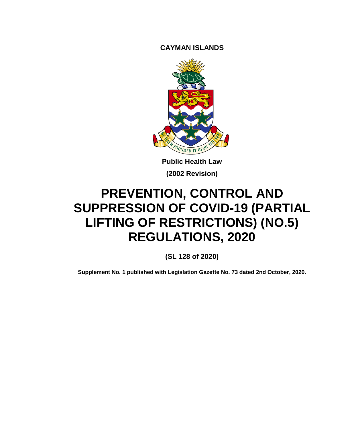**CAYMAN ISLANDS**



**Public Health Law (2002 Revision)**

# **PREVENTION, CONTROL AND SUPPRESSION OF COVID-19 (PARTIAL LIFTING OF RESTRICTIONS) (NO.5) REGULATIONS, 2020**

**(SL 128 of 2020)**

**Supplement No. 1 published with Legislation Gazette No. 73 dated 2nd October, 2020.**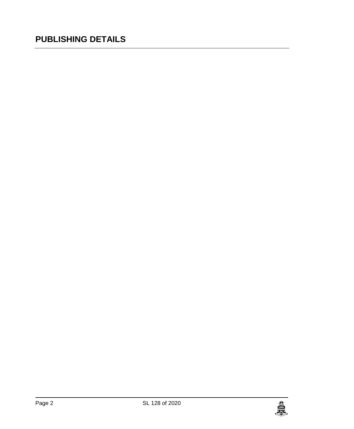## **PUBLISHING DETAILS**

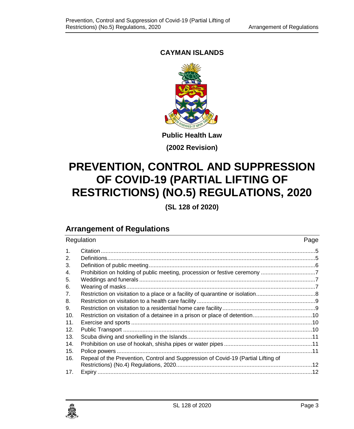## **CAYMAN ISLANDS**



**(2002 Revision)**

# **PREVENTION, CONTROL AND SUPPRESSION OF COVID-19 (PARTIAL LIFTING OF RESTRICTIONS) (NO.5) REGULATIONS, 2020**

**(SL 128 of 2020)**

## **Arrangement of Regulations**

| Regulation |                                                                                   | Page |
|------------|-----------------------------------------------------------------------------------|------|
| 1.         |                                                                                   |      |
| 2.         |                                                                                   |      |
| 3.         |                                                                                   |      |
| 4.         |                                                                                   |      |
| 5.         |                                                                                   |      |
| 6.         |                                                                                   |      |
| 7.         |                                                                                   |      |
| 8.         |                                                                                   |      |
| 9.         |                                                                                   |      |
| 10.        |                                                                                   |      |
| 11.        |                                                                                   |      |
| 12.        |                                                                                   |      |
| 13.        |                                                                                   |      |
| 14.        |                                                                                   |      |
| 15.        |                                                                                   |      |
| 16.        | Repeal of the Prevention, Control and Suppression of Covid-19 (Partial Lifting of |      |
|            |                                                                                   |      |
| 17.        |                                                                                   |      |

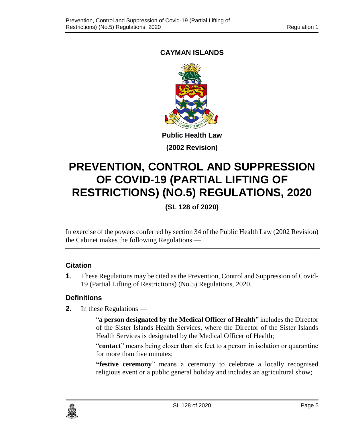## <span id="page-4-0"></span>**CAYMAN ISLANDS**



**(2002 Revision)**

# **PREVENTION, CONTROL AND SUPPRESSION OF COVID-19 (PARTIAL LIFTING OF RESTRICTIONS) (NO.5) REGULATIONS, 2020**

**(SL 128 of 2020)**

In exercise of the powers conferred by section 34 of the Public Health Law (2002 Revision) the Cabinet makes the following Regulations —

## **1. Citation**

**1**. These Regulations may be cited as the Prevention, Control and Suppression of Covid-19 (Partial Lifting of Restrictions) (No.5) Regulations, 2020.

## <span id="page-4-1"></span>**2. Definitions**

**2**. In these Regulations —

"**a person designated by the Medical Officer of Health**" includes the Director of the Sister Islands Health Services, where the Director of the Sister Islands Health Services is designated by the Medical Officer of Health;

"**contact**" means being closer than six feet to a person in isolation or quarantine for more than five minutes;

**"festive ceremony**" means a ceremony to celebrate a locally recognised religious event or a public general holiday and includes an agricultural show;

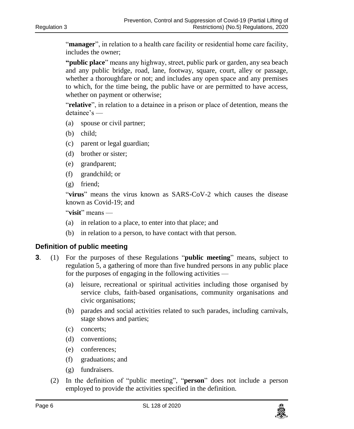"**manager**", in relation to a health care facility or residential home care facility, includes the owner;

**"public place**" means any highway, street, public park or garden, any sea beach and any public bridge, road, lane, footway, square, court, alley or passage, whether a thoroughfare or not; and includes any open space and any premises to which, for the time being, the public have or are permitted to have access, whether on payment or otherwise;

"**relative**", in relation to a detainee in a prison or place of detention, means the detainee's —

- (a) spouse or civil partner;
- (b) child;
- (c) parent or legal guardian;
- (d) brother or sister;
- (e) grandparent;
- (f) grandchild; or
- (g) friend;

"**virus**" means the virus known as SARS-CoV-2 which causes the disease known as Covid-19; and

"**visit**" means —

- (a) in relation to a place, to enter into that place; and
- (b) in relation to a person, to have contact with that person.

#### <span id="page-5-0"></span>**3. Definition of public meeting**

- **3**. (1) For the purposes of these Regulations "**public meeting**" means, subject to regulation 5, a gathering of more than five hundred persons in any public place for the purposes of engaging in the following activities —
	- (a) leisure, recreational or spiritual activities including those organised by service clubs, faith-based organisations, community organisations and civic organisations;
	- (b) parades and social activities related to such parades, including carnivals, stage shows and parties;
	- (c) concerts;
	- (d) conventions;
	- (e) conferences;
	- (f) graduations; and
	- (g) fundraisers.
	- (2) In the definition of "public meeting", "**person**" does not include a person employed to provide the activities specified in the definition.

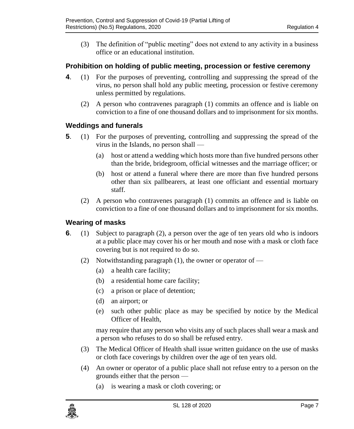(3) The definition of "public meeting" does not extend to any activity in a business office or an educational institution.

## <span id="page-6-0"></span>**4. Prohibition on holding of public meeting, procession or festive ceremony**

- **4**. (1) For the purposes of preventing, controlling and suppressing the spread of the virus, no person shall hold any public meeting, procession or festive ceremony unless permitted by regulations.
	- (2) A person who contravenes paragraph (1) commits an offence and is liable on conviction to a fine of one thousand dollars and to imprisonment for six months.

## <span id="page-6-1"></span>**5. Weddings and funerals**

- **5**. (1) For the purposes of preventing, controlling and suppressing the spread of the virus in the Islands, no person shall —
	- (a) host or attend a wedding which hosts more than five hundred persons other than the bride, bridegroom, official witnesses and the marriage officer; or
	- (b) host or attend a funeral where there are more than five hundred persons other than six pallbearers, at least one officiant and essential mortuary staff.
	- (2) A person who contravenes paragraph (1) commits an offence and is liable on conviction to a fine of one thousand dollars and to imprisonment for six months.

## <span id="page-6-2"></span>**6. Wearing of masks**

- **6**. (1) Subject to paragraph (2), a person over the age of ten years old who is indoors at a public place may cover his or her mouth and nose with a mask or cloth face covering but is not required to do so.
	- (2) Notwithstanding paragraph (1), the owner or operator of  $-$ 
		- (a) a health care facility;
		- (b) a residential home care facility;
		- (c) a prison or place of detention;
		- (d) an airport; or
		- (e) such other public place as may be specified by notice by the Medical Officer of Health,

may require that any person who visits any of such places shall wear a mask and a person who refuses to do so shall be refused entry.

- (3) The Medical Officer of Health shall issue written guidance on the use of masks or cloth face coverings by children over the age of ten years old.
- (4) An owner or operator of a public place shall not refuse entry to a person on the grounds either that the person —
	- (a) is wearing a mask or cloth covering; or

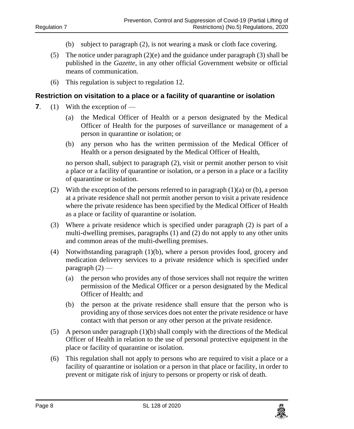- (b) subject to paragraph (2), is not wearing a mask or cloth face covering.
- (5) The notice under paragraph (2)(e) and the guidance under paragraph (3) shall be published in the *Gazette*, in any other official Government website or official means of communication.
- (6) This regulation is subject to regulation 12.

#### <span id="page-7-0"></span>**7. Restriction on visitation to a place or a facility of quarantine or isolation**

- **7**. (1) With the exception of
	- (a) the Medical Officer of Health or a person designated by the Medical Officer of Health for the purposes of surveillance or management of a person in quarantine or isolation; or
	- (b) any person who has the written permission of the Medical Officer of Health or a person designated by the Medical Officer of Health,

no person shall, subject to paragraph (2), visit or permit another person to visit a place or a facility of quarantine or isolation, or a person in a place or a facility of quarantine or isolation.

- (2) With the exception of the persons referred to in paragraph  $(1)(a)$  or (b), a person at a private residence shall not permit another person to visit a private residence where the private residence has been specified by the Medical Officer of Health as a place or facility of quarantine or isolation.
- (3) Where a private residence which is specified under paragraph (2) is part of a multi-dwelling premises, paragraphs (1) and (2) do not apply to any other units and common areas of the multi-dwelling premises.
- (4) Notwithstanding paragraph (1)(b), where a person provides food, grocery and medication delivery services to a private residence which is specified under paragraph (2) —
	- (a) the person who provides any of those services shall not require the written permission of the Medical Officer or a person designated by the Medical Officer of Health; and
	- (b) the person at the private residence shall ensure that the person who is providing any of those services does not enter the private residence or have contact with that person or any other person at the private residence.
- (5) A person under paragraph (1)(b) shall comply with the directions of the Medical Officer of Health in relation to the use of personal protective equipment in the place or facility of quarantine or isolation.
- (6) This regulation shall not apply to persons who are required to visit a place or a facility of quarantine or isolation or a person in that place or facility, in order to prevent or mitigate risk of injury to persons or property or risk of death.

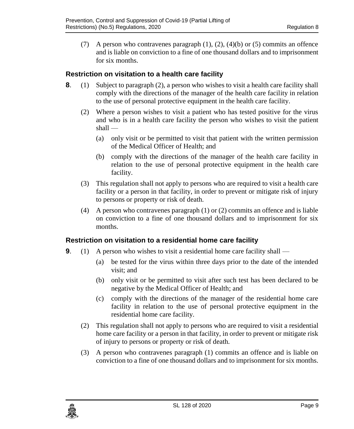(7) A person who contravenes paragraph  $(1)$ ,  $(2)$ ,  $(4)(b)$  or  $(5)$  commits an offence and is liable on conviction to a fine of one thousand dollars and to imprisonment for six months.

## <span id="page-8-0"></span>**8. Restriction on visitation to a health care facility**

- **8**. (1) Subject to paragraph (2), a person who wishes to visit a health care facility shall comply with the directions of the manager of the health care facility in relation to the use of personal protective equipment in the health care facility.
	- (2) Where a person wishes to visit a patient who has tested positive for the virus and who is in a health care facility the person who wishes to visit the patient  $shall$  —
		- (a) only visit or be permitted to visit that patient with the written permission of the Medical Officer of Health; and
		- (b) comply with the directions of the manager of the health care facility in relation to the use of personal protective equipment in the health care facility.
	- (3) This regulation shall not apply to persons who are required to visit a health care facility or a person in that facility, in order to prevent or mitigate risk of injury to persons or property or risk of death.
	- (4) A person who contravenes paragraph (1) or (2) commits an offence and is liable on conviction to a fine of one thousand dollars and to imprisonment for six months.

## <span id="page-8-1"></span>**9. Restriction on visitation to a residential home care facility**

- **9**. (1) A person who wishes to visit a residential home care facility shall
	- (a) be tested for the virus within three days prior to the date of the intended visit; and
	- (b) only visit or be permitted to visit after such test has been declared to be negative by the Medical Officer of Health; and
	- (c) comply with the directions of the manager of the residential home care facility in relation to the use of personal protective equipment in the residential home care facility.
	- (2) This regulation shall not apply to persons who are required to visit a residential home care facility or a person in that facility, in order to prevent or mitigate risk of injury to persons or property or risk of death.
	- (3) A person who contravenes paragraph (1) commits an offence and is liable on conviction to a fine of one thousand dollars and to imprisonment for six months.

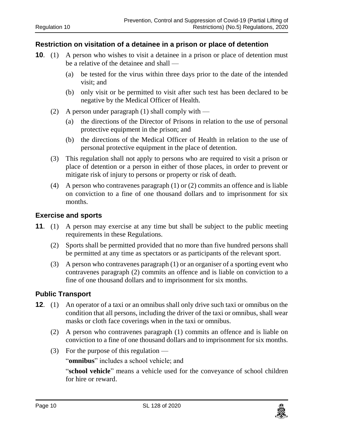#### <span id="page-9-0"></span>**10. Restriction on visitation of a detainee in a prison or place of detention**

- **10.** (1) A person who wishes to visit a detainee in a prison or place of detention must be a relative of the detainee and shall —
	- (a) be tested for the virus within three days prior to the date of the intended visit; and
	- (b) only visit or be permitted to visit after such test has been declared to be negative by the Medical Officer of Health.
	- (2) A person under paragraph (1) shall comply with  $-$ 
		- (a) the directions of the Director of Prisons in relation to the use of personal protective equipment in the prison; and
		- (b) the directions of the Medical Officer of Health in relation to the use of personal protective equipment in the place of detention.
	- (3) This regulation shall not apply to persons who are required to visit a prison or place of detention or a person in either of those places, in order to prevent or mitigate risk of injury to persons or property or risk of death.
	- (4) A person who contravenes paragraph (1) or (2) commits an offence and is liable on conviction to a fine of one thousand dollars and to imprisonment for six months.

#### <span id="page-9-1"></span>**11. Exercise and sports**

- **11**. (1) A person may exercise at any time but shall be subject to the public meeting requirements in these Regulations.
	- (2) Sports shall be permitted provided that no more than five hundred persons shall be permitted at any time as spectators or as participants of the relevant sport.
	- (3) A person who contravenes paragraph (1) or an organiser of a sporting event who contravenes paragraph (2) commits an offence and is liable on conviction to a fine of one thousand dollars and to imprisonment for six months.

## <span id="page-9-2"></span>**12. Public Transport**

- **12**. (1) An operator of a taxi or an omnibus shall only drive such taxi or omnibus on the condition that all persons, including the driver of the taxi or omnibus, shall wear masks or cloth face coverings when in the taxi or omnibus.
	- (2) A person who contravenes paragraph (1) commits an offence and is liable on conviction to a fine of one thousand dollars and to imprisonment for six months.
	- (3) For the purpose of this regulation —

"**omnibus**" includes a school vehicle; and

"**school vehicle**" means a vehicle used for the conveyance of school children for hire or reward.

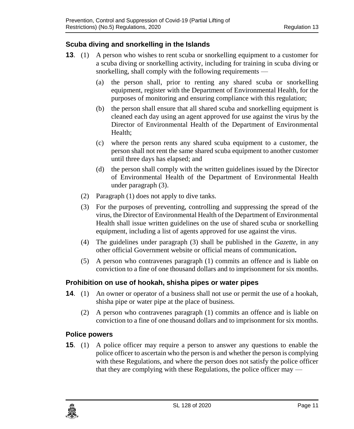## <span id="page-10-0"></span>**13. Scuba diving and snorkelling in the Islands**

- **13**. (1) A person who wishes to rent scuba or snorkelling equipment to a customer for a scuba diving or snorkelling activity, including for training in scuba diving or snorkelling, shall comply with the following requirements —
	- (a) the person shall, prior to renting any shared scuba or snorkelling equipment, register with the Department of Environmental Health, for the purposes of monitoring and ensuring compliance with this regulation;
	- (b) the person shall ensure that all shared scuba and snorkelling equipment is cleaned each day using an agent approved for use against the virus by the Director of Environmental Health of the Department of Environmental Health;
	- (c) where the person rents any shared scuba equipment to a customer, the person shall not rent the same shared scuba equipment to another customer until three days has elapsed; and
	- (d) the person shall comply with the written guidelines issued by the Director of Environmental Health of the Department of Environmental Health under paragraph (3).
	- (2) Paragraph (1) does not apply to dive tanks.
	- (3) For the purposes of preventing, controlling and suppressing the spread of the virus, the Director of Environmental Health of the Department of Environmental Health shall issue written guidelines on the use of shared scuba or snorkelling equipment, including a list of agents approved for use against the virus.
	- (4) The guidelines under paragraph (3) shall be published in the *Gazette*, in any other official Government website or official means of communication**.**
	- (5) A person who contravenes paragraph (1) commits an offence and is liable on conviction to a fine of one thousand dollars and to imprisonment for six months.

## <span id="page-10-1"></span>**14. Prohibition on use of hookah, shisha pipes or water pipes**

- **14.** (1) An owner or operator of a business shall not use or permit the use of a hookah, shisha pipe or water pipe at the place of business.
	- (2) A person who contravenes paragraph (1) commits an offence and is liable on conviction to a fine of one thousand dollars and to imprisonment for six months.

## <span id="page-10-2"></span>**15. Police powers**

**15**. (1) A police officer may require a person to answer any questions to enable the police officer to ascertain who the person is and whether the person is complying with these Regulations, and where the person does not satisfy the police officer that they are complying with these Regulations, the police officer may —